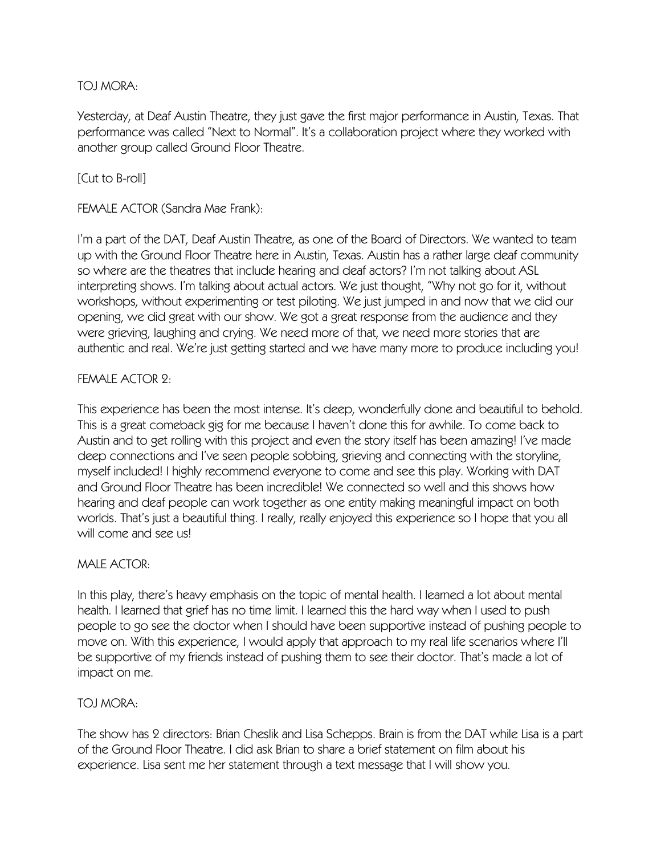# TOJ MORA:

Yesterday, at Deaf Austin Theatre, they just gave the first major performance in Austin, Texas. That performance was called "Next to Normal". It's a collaboration project where they worked with another group called Ground Floor Theatre.

# [Cut to B-roll]

FEMALE ACTOR (Sandra Mae Frank):

I'm a part of the DAT, Deaf Austin Theatre, as one of the Board of Directors. We wanted to team up with the Ground Floor Theatre here in Austin, Texas. Austin has a rather large deaf community so where are the theatres that include hearing and deaf actors? I'm not talking about ASL interpreting shows. I'm talking about actual actors. We just thought, "Why not go for it, without workshops, without experimenting or test piloting. We just jumped in and now that we did our opening, we did great with our show. We got a great response from the audience and they were grieving, laughing and crying. We need more of that, we need more stories that are authentic and real. We're just getting started and we have many more to produce including you!

# FEMALE ACTOR 2:

This experience has been the most intense. It's deep, wonderfully done and beautiful to behold. This is a great comeback gig for me because I haven't done this for awhile. To come back to Austin and to get rolling with this project and even the story itself has been amazing! I've made deep connections and I've seen people sobbing, grieving and connecting with the storyline, myself included! I highly recommend everyone to come and see this play. Working with DAT and Ground Floor Theatre has been incredible! We connected so well and this shows how hearing and deaf people can work together as one entity making meaningful impact on both worlds. That's just a beautiful thing. I really, really enjoyed this experience so I hope that you all will come and see us!

# MALE ACTOR:

In this play, there's heavy emphasis on the topic of mental health. I learned a lot about mental health. I learned that grief has no time limit. I learned this the hard way when I used to push people to go see the doctor when I should have been supportive instead of pushing people to move on. With this experience, I would apply that approach to my real life scenarios where I'll be supportive of my friends instead of pushing them to see their doctor. That's made a lot of impact on me.

# TOJ MORA:

The show has 2 directors: Brian Cheslik and Lisa Schepps. Brain is from the DAT while Lisa is a part of the Ground Floor Theatre. I did ask Brian to share a brief statement on film about his experience. Lisa sent me her statement through a text message that I will show you.